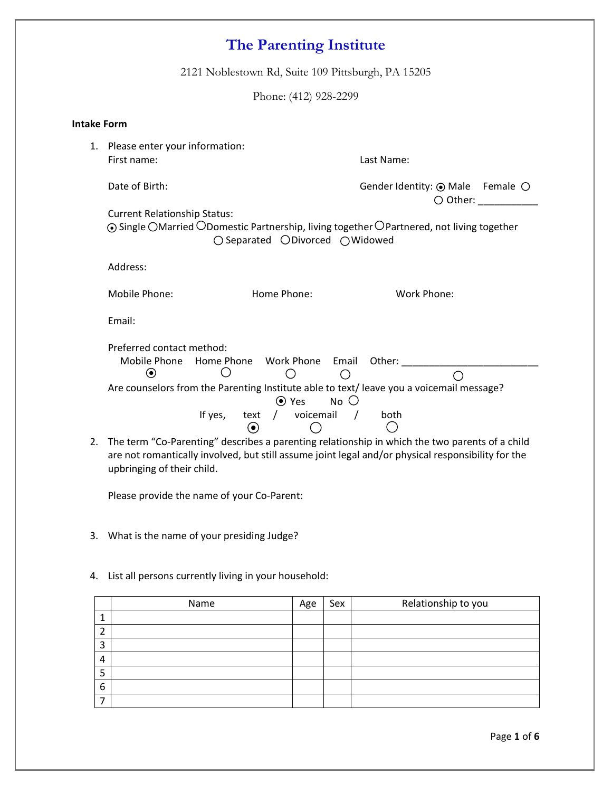2121 Noblestown Rd, Suite 109 Pittsburgh, PA 15205

Phone: (412) 928-2299

| <b>Intake Form</b> |                                                                                                                                                                                                      |                                                    |                                                                                                                                                                                                      |  |  |  |
|--------------------|------------------------------------------------------------------------------------------------------------------------------------------------------------------------------------------------------|----------------------------------------------------|------------------------------------------------------------------------------------------------------------------------------------------------------------------------------------------------------|--|--|--|
| 1.                 | Please enter your information:<br>First name:                                                                                                                                                        |                                                    | Last Name:                                                                                                                                                                                           |  |  |  |
|                    | Date of Birth:                                                                                                                                                                                       |                                                    | Gender Identity: $\odot$ Male Female $\odot$<br>$\bigcirc$ Other:                                                                                                                                    |  |  |  |
|                    | <b>Current Relationship Status:</b><br>$\odot$ Single OMarried ODomestic Partnership, living together OPartnered, not living together<br>$\bigcirc$ Separated $\bigcirc$ Divorced $\bigcirc$ Widowed |                                                    |                                                                                                                                                                                                      |  |  |  |
|                    | Address:                                                                                                                                                                                             |                                                    |                                                                                                                                                                                                      |  |  |  |
|                    | Mobile Phone:                                                                                                                                                                                        | Home Phone:                                        | Work Phone:                                                                                                                                                                                          |  |  |  |
|                    | Email:                                                                                                                                                                                               |                                                    |                                                                                                                                                                                                      |  |  |  |
|                    | Preferred contact method:<br>Mobile Phone<br>$\odot$<br>( )                                                                                                                                          | Home Phone Work Phone Email Other:                 | Are counselors from the Parenting Institute able to text/ leave you a voicemail message?                                                                                                             |  |  |  |
|                    | If yes,                                                                                                                                                                                              | $\odot$ Yes<br>$No$ $O$<br>text / voicemail /<br>◉ | both                                                                                                                                                                                                 |  |  |  |
| 2.                 | upbringing of their child.                                                                                                                                                                           |                                                    | The term "Co-Parenting" describes a parenting relationship in which the two parents of a child<br>are not romantically involved, but still assume joint legal and/or physical responsibility for the |  |  |  |
|                    | Please provide the name of your Co-Parent:                                                                                                                                                           |                                                    |                                                                                                                                                                                                      |  |  |  |

- 3. What is the name of your presiding Judge?
- 4. List all persons currently living in your household:

|   | Name | Age | Sex | Relationship to you |
|---|------|-----|-----|---------------------|
|   |      |     |     |                     |
|   |      |     |     |                     |
| 3 |      |     |     |                     |
| 4 |      |     |     |                     |
|   |      |     |     |                     |
| 6 |      |     |     |                     |
|   |      |     |     |                     |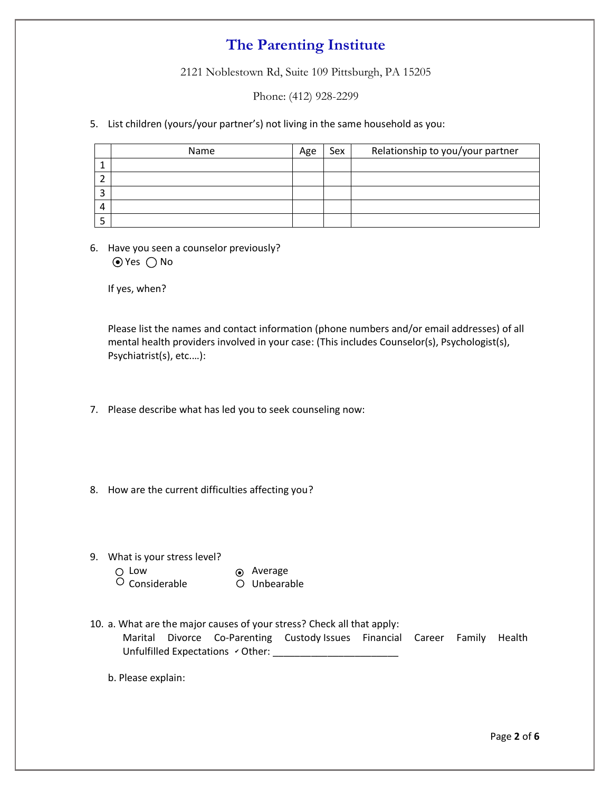2121 Noblestown Rd, Suite 109 Pittsburgh, PA 15205

Phone: (412) 928-2299

5. List children (yours/your partner's) not living in the same household as you:

| Name | Age | Sex | Relationship to you/your partner |
|------|-----|-----|----------------------------------|
|      |     |     |                                  |
|      |     |     |                                  |
|      |     |     |                                  |
|      |     |     |                                  |
|      |     |     |                                  |

6. Have you seen a counselor previously?  $\odot$  Yes  $\bigcirc$  No

If yes, when?

Please list the names and contact information (phone numbers and/or email addresses) of all mental health providers involved in your case: (This includes Counselor(s), Psychologist(s), Psychiatrist(s), etc.…):

- 7. Please describe what has led you to seek counseling now:
- 8. How are the current difficulties affecting you?
- 9. What is your stress level?
- Low 
Average
	- $\overline{O}$  Considerable  $\overline{O}$  Unbearable
	- 10. a. What are the major causes of your stress? Check all that apply: Marital Divorce Co-Parenting Custody Issues Financial Career Family Health Unfulfilled Expectations Other: \_\_\_\_\_\_\_\_\_\_\_\_\_\_\_\_\_\_\_\_\_\_\_ ✔

b. Please explain: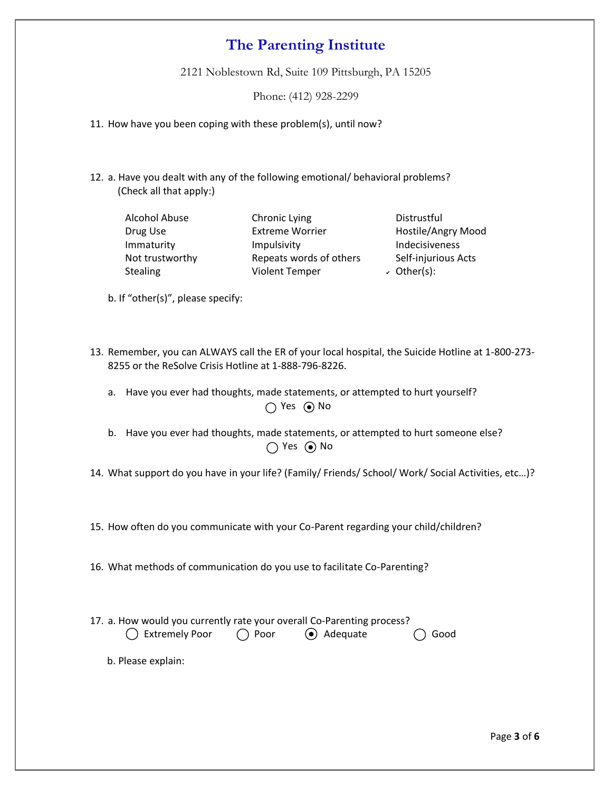2121 Noblestown Rd, Suite 109 Pittsburgh, PA 15205

Phone: (412) 928-2299

11. How have you been coping with these problem(s), until now?

12. a. Have you dealt with any of the following emotional/ behavioral problems? (Check all that apply:)

| <b>Alcohol Abuse</b> |  |  |  |  |
|----------------------|--|--|--|--|
| Drug Use             |  |  |  |  |
| Immaturity           |  |  |  |  |
| Not trustworthy      |  |  |  |  |
| <b>Stealing</b>      |  |  |  |  |

Chronic Lying Distrustful Extreme Worrier **Hostile/Angry Mood** Impulsivity **Impulsivity** Indecisiveness Repeats words of others Self-injurious Acts Violent Temper

 $\checkmark$  Other(s):

b. If "other(s)", please specify:

- 13. Remember, you can ALWAYS call the ER of your local hospital, the Suicide Hotline at 1-800-273- 8255 or the ReSolve Crisis Hotline at 1-888-796-8226.
	- a. Have you ever had thoughts, made statements, or attempted to hurt yourself? Yes No ●
	- b. Have you ever had thoughts, made statements, or attempted to hurt someone else? es and the North State of No. No. 1999. No
- 14. What support do you have in your life? (Family/ Friends/ School/ Work/ Social Activities, etc…)?

15. How often do you communicate with your Co-Parent regarding your child/children?

16. What methods of communication do you use to facilitate Co-Parenting?

17. a. How would you currently rate your overall Co-Parenting process? Extremely Poor  $\bigcirc$  Poor  $\bigcirc$  Adequate  $\bigcirc$  Good

b. Please explain: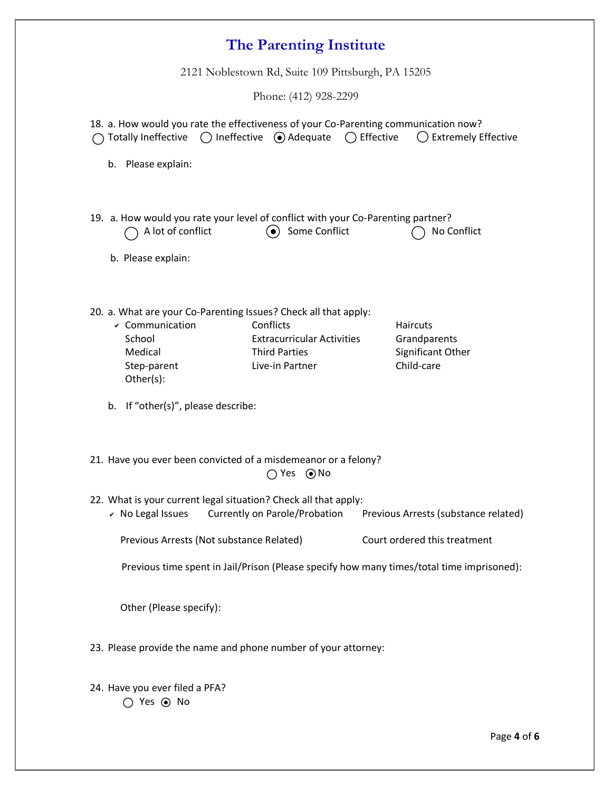| 2121 Noblestown Rd, Suite 109 Pittsburgh, PA 15205                                                                                                                                                                                                                                                                                                  |  |  |  |  |  |
|-----------------------------------------------------------------------------------------------------------------------------------------------------------------------------------------------------------------------------------------------------------------------------------------------------------------------------------------------------|--|--|--|--|--|
| Phone: (412) 928-2299                                                                                                                                                                                                                                                                                                                               |  |  |  |  |  |
| 18. a. How would you rate the effectiveness of your Co-Parenting communication now?<br>$\bigcirc$ Ineffective $\bigcirc$ Adequate $\bigcirc$ Effective<br>$\bigcirc$ Extremely Effective<br><b>Totally Ineffective</b><br>Please explain:<br>b.                                                                                                     |  |  |  |  |  |
| 19. a. How would you rate your level of conflict with your Co-Parenting partner?<br>Some Conflict<br>A lot of conflict<br>No Conflict<br>$\bullet$<br>b. Please explain:                                                                                                                                                                            |  |  |  |  |  |
| 20. a. What are your Co-Parenting Issues? Check all that apply:<br>$\mathcal V$ Communication<br>Conflicts<br>Haircuts<br>School<br><b>Extracurricular Activities</b><br>Grandparents<br><b>Third Parties</b><br>Significant Other<br>Medical<br>Child-care<br>Live-in Partner<br>Step-parent<br>Other(s):<br>If "other(s)", please describe:<br>b. |  |  |  |  |  |
| 21. Have you ever been convicted of a misdemeanor or a felony?<br>$\bigcap$ Yes $\bigcirc$ No                                                                                                                                                                                                                                                       |  |  |  |  |  |
| 22. What is your current legal situation? Check all that apply:<br>Currently on Parole/Probation<br>$\mathcal V$ No Legal Issues<br>Previous Arrests (substance related)                                                                                                                                                                            |  |  |  |  |  |
| Court ordered this treatment<br>Previous Arrests (Not substance Related)                                                                                                                                                                                                                                                                            |  |  |  |  |  |
| Previous time spent in Jail/Prison (Please specify how many times/total time imprisoned):                                                                                                                                                                                                                                                           |  |  |  |  |  |
| Other (Please specify):                                                                                                                                                                                                                                                                                                                             |  |  |  |  |  |
| 23. Please provide the name and phone number of your attorney:                                                                                                                                                                                                                                                                                      |  |  |  |  |  |
| 24. Have you ever filed a PFA?<br>$\bigcirc$ Yes $\odot$ No                                                                                                                                                                                                                                                                                         |  |  |  |  |  |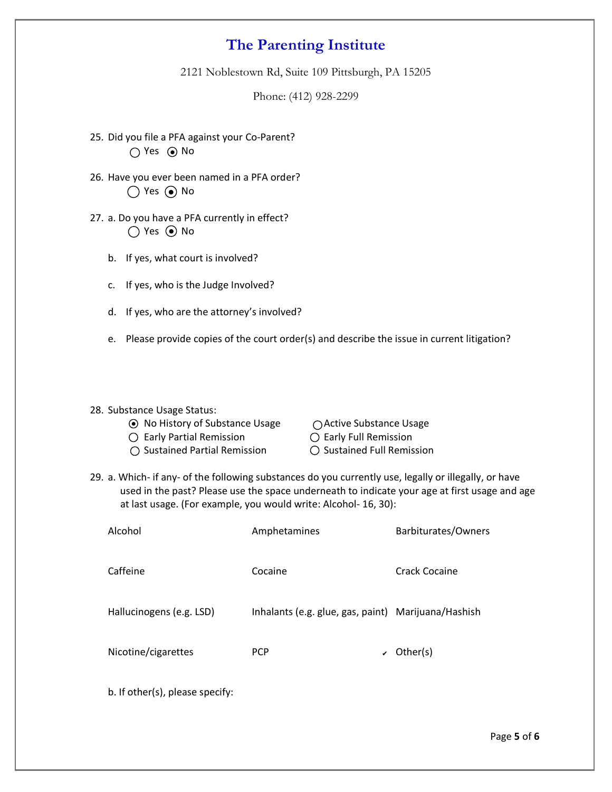2121 Noblestown Rd, Suite 109 Pittsburgh, PA 15205

Phone: (412) 928-2299

- 25. Did you file a PFA against your Co-Parent? Yes No ●
- 26. Have you ever been named in a PFA order? Yes (•) No
- 27. a. Do you have a PFA currently in effect? Yes No ●
	- b. If yes, what court is involved?
	- c. If yes, who is the Judge Involved?
	- d. If yes, who are the attorney's involved?
	- e. Please provide copies of the court order(s) and describe the issue in current litigation?

#### 28. Substance Usage Status:

- No History of Substance Usage Active Substance Usage
- $\bigcirc$  Early Partial Remission  $\bigcirc$  Early Full Remission
- $\bigcirc$  Sustained Partial Remission  $\bigcirc$  Sustained Full Remission

- 
- 
- 29. a. Which- if any- of the following substances do you currently use, legally or illegally, or have used in the past? Please use the space underneath to indicate your age at first usage and age at last usage. (For example, you would write: Alcohol- 16, 30):

| Barbiturates/Owners                                 |
|-----------------------------------------------------|
| Crack Cocaine                                       |
| Inhalants (e.g. glue, gas, paint) Marijuana/Hashish |
|                                                     |
|                                                     |

b. If other(s), please specify: